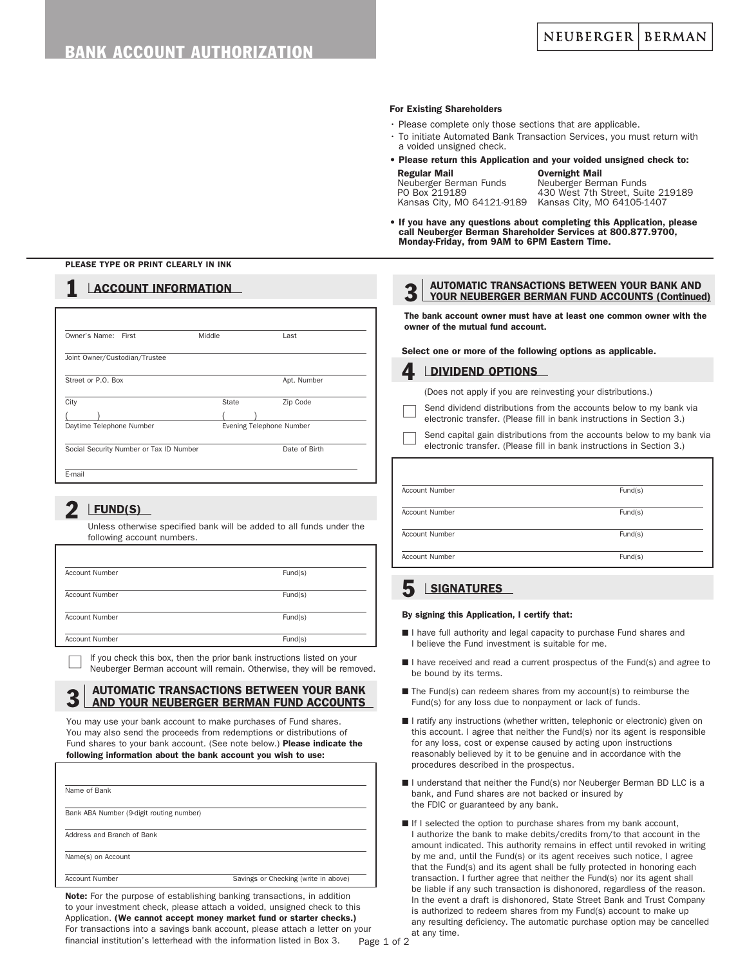#### For Existing Shareholders

- Please complete only those sections that are applicable.
- To initiate Automated Bank Transaction Services, you must return with a voided unsigned check.
- Please return this Application and your voided unsigned check to:
	- **Regular Mail**<br>Neuberger Berman Funds Meuberger Berr Neuberger Berman Funds Meuberger Berman Funds<br>PO Box 219189 7430 West 7th Street, Sui 430 West 7th Street, Suite 219189<br>Kansas City, M0 64105-1407 Kansas City, MO 64121-9189
- If you have any questions about completing this Application, please call Neuberger Berman Shareholder Services at 800.877.9700, Monday-Friday, from 9AM to 6PM Eastern Time.

#### PLEASE TYPE OR PRINT CLEARLY IN INK

## **1** LACCOUNT INFORMATION

| Owner's Name:<br>First                  | Middle | Last                     |
|-----------------------------------------|--------|--------------------------|
| Joint Owner/Custodian/Trustee           |        |                          |
| Street or P.O. Box                      |        | Apt. Number              |
| City                                    | State  | Zip Code                 |
|                                         |        |                          |
| Daytime Telephone Number                |        | Evening Telephone Number |
| Social Security Number or Tax ID Number |        | Date of Birth            |

### **FUND(S)**

 Unless otherwise specified bank will be added to all funds under the following account numbers.

| <b>Account Number</b> | Fund(s) |
|-----------------------|---------|
| <b>Account Number</b> | Fund(s) |
| <b>Account Number</b> | Fund(s) |
| <b>Account Number</b> | Fund(s) |

If you check this box, then the prior bank instructions listed on your Neuberger Berman account will remain. Otherwise, they will be removed.

# 3 AUTOMATIC TRANSACTIONS BETWEEN YOUR BANK<br>3 AND YOUR NEUBERGER BERMAN FUND ACCOUNTS

You may use your bank account to make purchases of Fund shares. You may also send the proceeds from redemptions or distributions of Fund shares to your bank account. (See note below.) Please indicate the following information about the bank account you wish to use:

| Name of Bank                             |                                      |
|------------------------------------------|--------------------------------------|
| Bank ABA Number (9-digit routing number) |                                      |
| Address and Branch of Bank               |                                      |
| Name(s) on Account                       |                                      |
| <b>Account Number</b>                    | Savings or Checking (write in above) |

Note: For the purpose of establishing banking transactions, in addition to your investment check, please attach a voided, unsigned check to this Application. (We cannot accept money market fund or starter checks.) For transactions into a savings bank account, please attach a letter on your financial institution's letterhead with the information listed in Box 3.

# 3 AUTOMATIC TRANSACTIONS BETWEEN YOUR BANK AND<br>3 YOUR NEUBERGER BERMAN FUND ACCOUNTS (Continued)

The bank account owner must have at least one common owner with the owner of the mutual fund account.

Select one or more of the following options as applicable.

### **DIVIDEND OPTIONS**

(Does not apply if you are reinvesting your distributions.)

- Send dividend distributions from the accounts below to my bank via electronic transfer. (Please fill in bank instructions in Section 3.)
- Send capital gain distributions from the accounts below to my bank via electronic transfer. (Please fill in bank instructions in Section 3.)

| Account Number        | Fund(s) |
|-----------------------|---------|
| <b>Account Number</b> | Fund(s) |
| Account Number        | Fund(s) |
| <b>Account Number</b> | Fund(s) |

## **SIGNATURES**

#### By signing this Application, I certify that:

- I have full authority and legal capacity to purchase Fund shares and I believe the Fund investment is suitable for me.
- I have received and read a current prospectus of the Fund(s) and agree to be bound by its terms.
- $\blacksquare$  The Fund(s) can redeem shares from my account(s) to reimburse the Fund(s) for any loss due to nonpayment or lack of funds.
- I ratify any instructions (whether written, telephonic or electronic) given on this account. I agree that neither the Fund(s) nor its agent is responsible for any loss, cost or expense caused by acting upon instructions reasonably believed by it to be genuine and in accordance with the procedures described in the prospectus.
- I understand that neither the Fund(s) nor Neuberger Berman BD LLC is a bank, and Fund shares are not backed or insured by the FDIC or guaranteed by any bank.
- If I selected the option to purchase shares from my bank account, I authorize the bank to make debits/credits from/to that account in the amount indicated. This authority remains in effect until revoked in writing by me and, until the Fund(s) or its agent receives such notice, I agree that the Fund(s) and its agent shall be fully protected in honoring each transaction. I further agree that neither the Fund(s) nor its agent shall be liable if any such transaction is dishonored, regardless of the reason. In the event a draft is dishonored, State Street Bank and Trust Company is authorized to redeem shares from my Fund(s) account to make up any resulting deficiency. The automatic purchase option may be cancelled at any time.